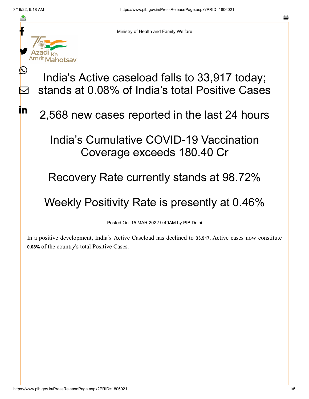f

≛

y.

ahotsav

 $\bm{\mathbb{C}}$ 

 $\sum$ 

<u>in</u>



India's Active caseload falls to 33,917 today; stands at 0.08% of India's total Positive Cases

2,568 new cases reported in the last 24 hours

## India's Cumulative COVID-19 Vaccination Coverage exceeds 180.40 Cr

## Recovery Rate currently stands at 98.72%

## Weekly Positivity Rate is presently at 0.46%

Posted On: 15 MAR 2022 9:49AM by PIB Delhi

In a positive development, India's Active Caseload has declined to **33,917.** Active cases now constitute **0.08%** of the country's total Positive Cases**.**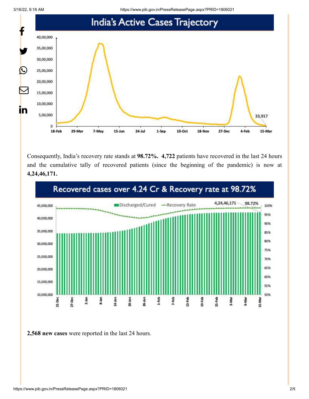3/16/22, 9:18 AM https://www.pib.gov.in/PressReleasePage.aspx?PRID=1806021



Consequently, India's recovery rate stands at **98.72%. 4,722** patients have recovered in the last 24 hours and the cumulative tally of recovered patients (since the beginning of the pandemic) is now at **4,24,46,171.**



**2,568 new cases** were reported in the last 24 hours.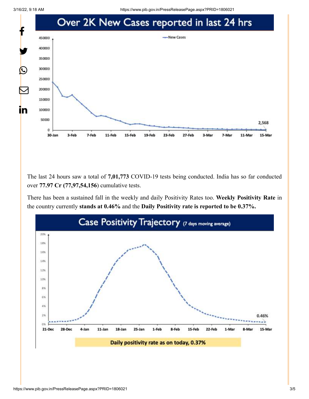

The last 24 hours saw a total of **7,01,773** COVID-19 tests being conducted. India has so far conducted over **77.97 Cr (77,97,54,156**) cumulative tests.

There has been a sustained fall in the weekly and daily Positivity Rates too. **Weekly Positivity Rate** in the country currently **stands at 0.46%** and the **Daily Positivity rate is reported to be 0.37%.**

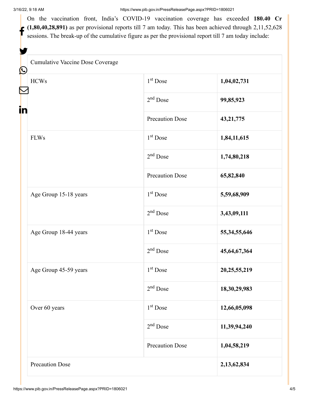On the vaccination front, India's COVID-19 vaccination coverage has exceeded **180.40 Cr**  $(1,80,40,28,891)$  as per provisional reports till 7 am today. This has been achieved through 2,11,52,628 sessions. The break-up of the cumulative figure as per the provisional report till 7 am today include:

| Cumulative Vaccine Dose Coverage |                        |                 |
|----------------------------------|------------------------|-----------------|
| <b>HCWs</b>                      | 1 <sup>st</sup> Dose   | 1,04,02,731     |
|                                  | $2nd$ Dose             | 99,85,923       |
|                                  | <b>Precaution Dose</b> | 43, 21, 775     |
| <b>FLWs</b>                      | 1 <sup>st</sup> Dose   | 1,84,11,615     |
|                                  | $2nd$ Dose             | 1,74,80,218     |
|                                  | <b>Precaution Dose</b> | 65,82,840       |
| Age Group 15-18 years            | 1 <sup>st</sup> Dose   | 5,59,68,909     |
|                                  | $2nd$ Dose             | 3,43,09,111     |
| Age Group 18-44 years            | $1st$ Dose             | 55, 34, 55, 646 |
|                                  | $2nd$ Dose             | 45,64,67,364    |
| Age Group 45-59 years            | 1 <sup>st</sup> Dose   | 20, 25, 55, 219 |
|                                  | $2nd$ Dose             | 18, 30, 29, 983 |
| Over 60 years                    | 1 <sup>st</sup> Dose   | 12,66,05,098    |
|                                  | $2nd$ Dose             | 11,39,94,240    |
|                                  | <b>Precaution Dose</b> | 1,04,58,219     |
| <b>Precaution Dose</b>           |                        | 2,13,62,834     |